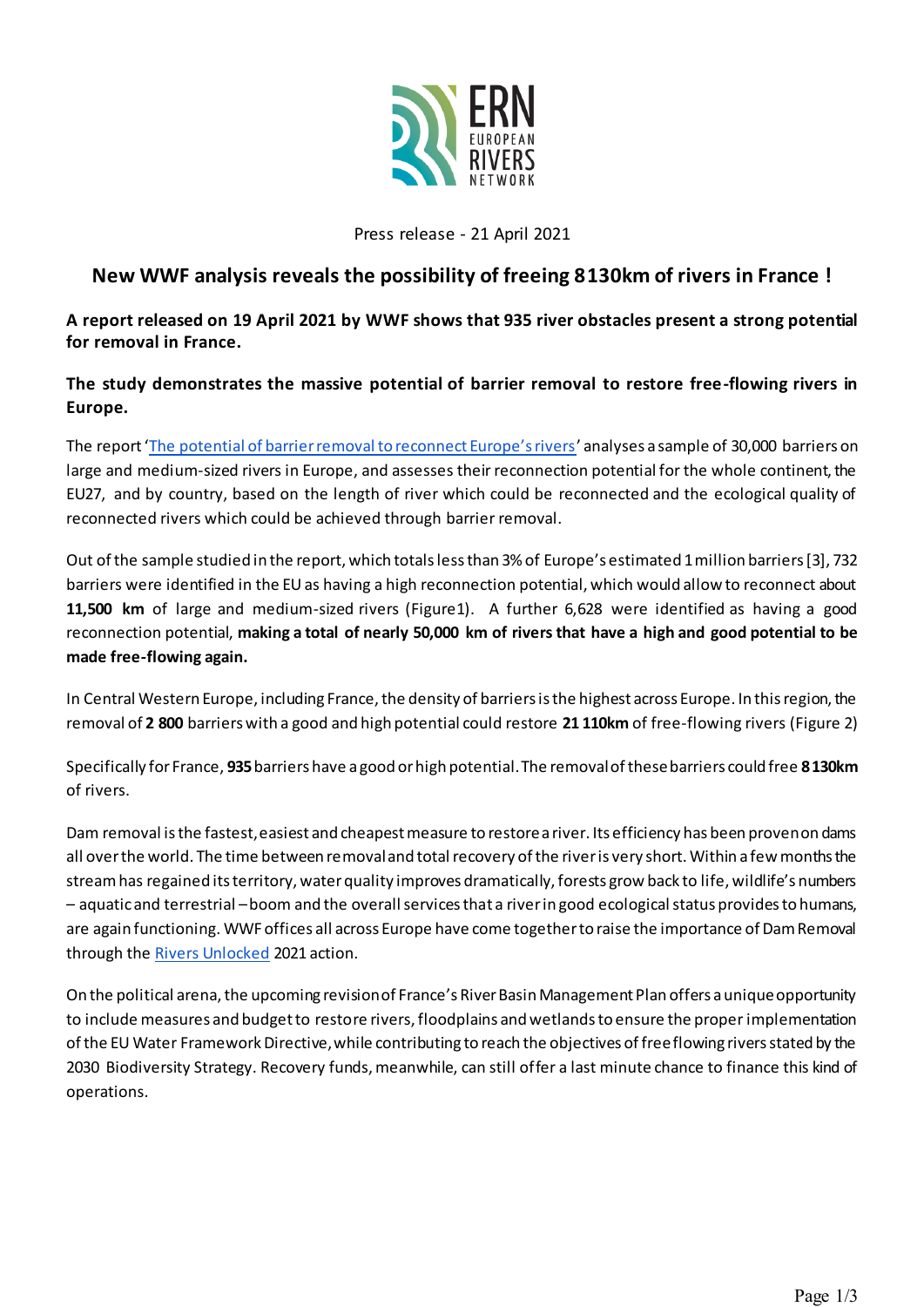

Press release - 21 April 2021

# **New WWF analysis reveals the possibility of freeing 8130km of rivers in France !**

**A report released on 19 April 2021 by WWF shows that 935 river obstacles present a strong potential for removal in France.** 

**The study demonstrates the massive potential of barrier removal to restore free-flowing rivers in Europe.** 

The report ['The potential of barrier removal to reconnect Europe's rivers'](https://www.wwf.eu/?2898441/New-WWF-analysis-shows-huge-potential-for-river-restoration-through-barrier-removal-in-Europe) analyses a sample of 30,000 barriers on large and medium-sized rivers in Europe, and assesses their reconnection potential for the whole continent, the EU27, and by country, based on the length of river which could be reconnected and the ecological quality of reconnected rivers which could be achieved through barrier removal.

Out of the sample studied in the report, which totals less than 3% of Europe's estimated 1 million barriers [3], 732 barriers were identified in the EU as having a high reconnection potential, which would allow to reconnect about **11,500 km** of large and medium-sized rivers (Figure1). A further 6,628 were identified as having a good reconnection potential, **making a total of nearly 50,000 km of rivers that have a high and good potential to be made free-flowing again.** 

In Central Western Europe, including France, the density of barriers is the highest across Europe. In this region, the removal of **2 800** barriers with a good and high potential could restore **21 110km** of free-flowing rivers (Figure 2)

Specifically for France, **935** barriers have a good or high potential. The removal of these barriers could free **8 130km** of rivers.

Dam removal is the fastest, easiest and cheapest measure to restore a river. Its efficiency has been proven on dams all over the world. The time between removal and total recovery of the river is very short. Within a few months the stream has regained its territory, water quality improves dramatically, forests grow back to life, wildlife's numbers – aquatic and terrestrial – boom and the overall services that a river in good ecological status provides to humans, are again functioning. WWF offices all across Europe have come together to raise the importance of Dam Removal through th[e Rivers Unlocked](https://wwf.panda.org/discover/our_focus/freshwater_practice/freshwater_inititiaves/living_european_rivers_initiative/rivers_unlocked/) 2021 action.

On the political arena, the upcoming revision of France's River Basin Management Plan offers a unique opportunity to include measures and budget to restore rivers, floodplains and wetlands to ensure the proper implementation of the EU Water Framework Directive, while contributing to reach the objectives of free flowing rivers stated by the 2030 Biodiversity Strategy. Recovery funds, meanwhile, can still offer a last minute chance to finance this kind of operations.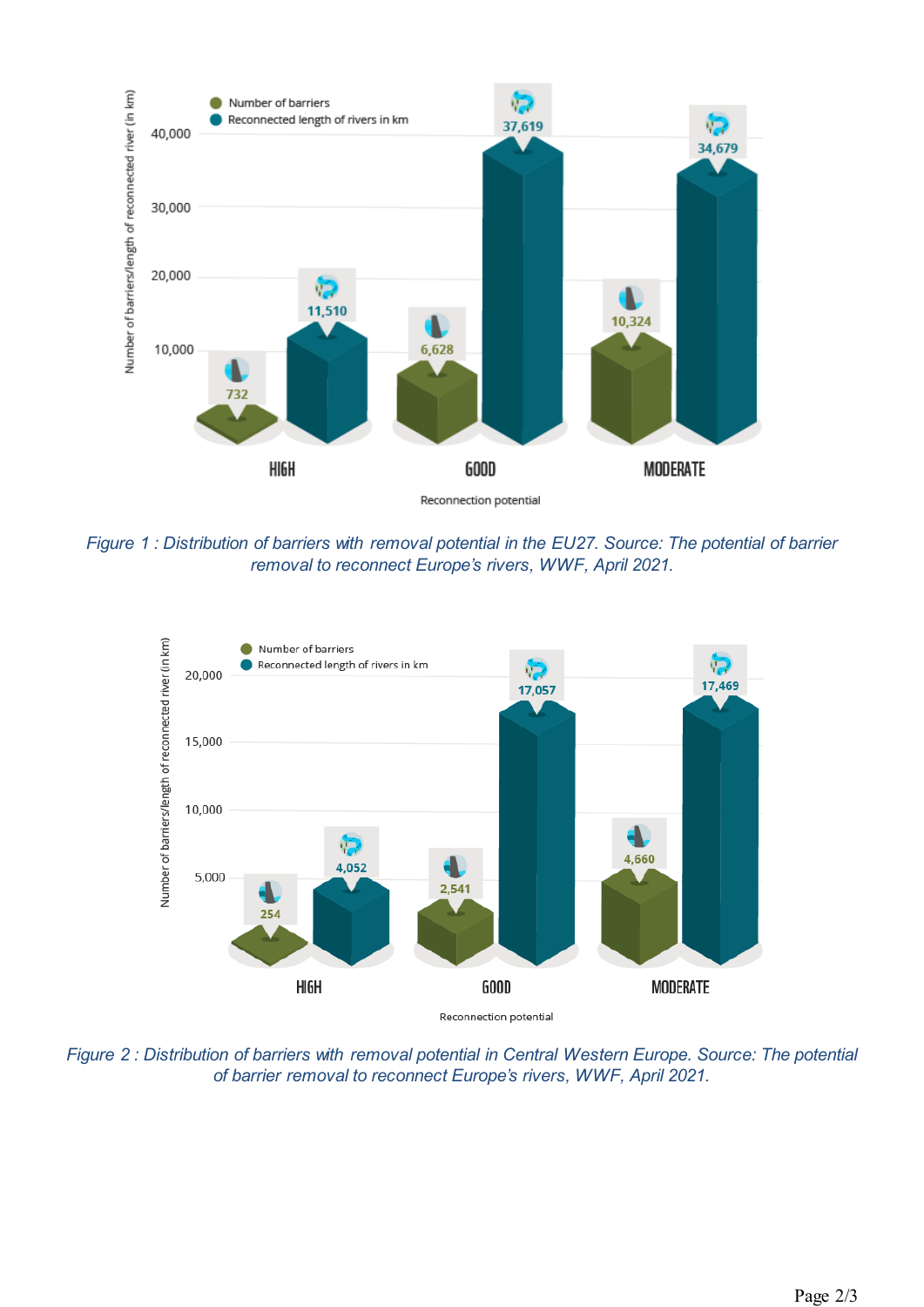

*Figure 1 : Distribution of barriers with removal potential in the EU27. Source: The potential of barrier removal to reconnect Europe's rivers, WWF, April 2021.*



*Figure 2 : Distribution of barriers with removal potential in Central Western Europe. Source: The potential of barrier removal to reconnect Europe's rivers, WWF, April 2021.*